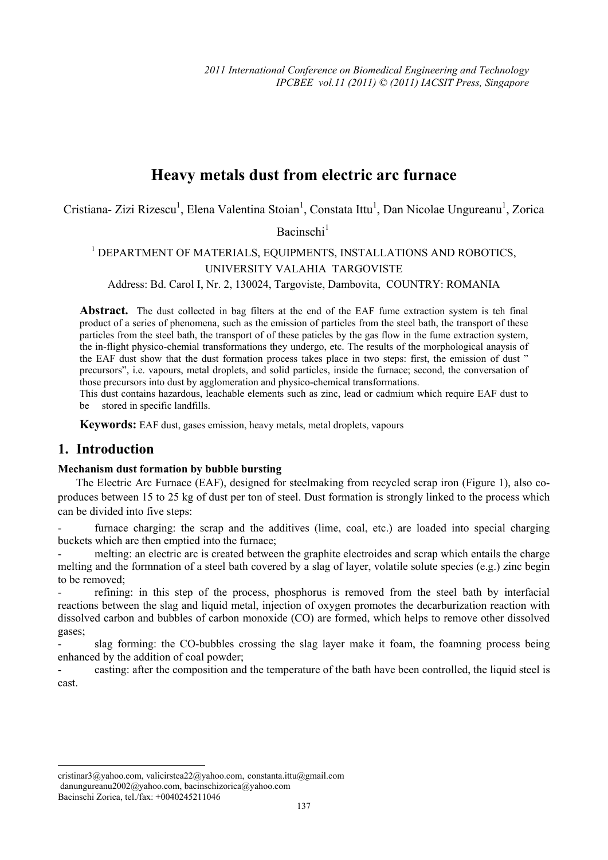# **Heavy metals dust from electric arc furnace**

Cristiana- Zizi Rizescu<sup>1</sup>, Elena Valentina Stoian<sup>1</sup>, Constata Ittu<sup>1</sup>, Dan Nicolae Ungureanu<sup>1</sup>, Zorica

Bacinschi $<sup>1</sup>$ </sup>

<sup>1</sup> DEPARTMENT OF MATERIALS, EQUIPMENTS, INSTALLATIONS AND ROBOTICS, UNIVERSITY VALAHIA TARGOVISTE

Address: Bd. Carol I, Nr. 2, 130024, Targoviste, Dambovita, COUNTRY: ROMANIA

**Abstract.** The dust collected in bag filters at the end of the EAF fume extraction system is teh final product of a series of phenomena, such as the emission of particles from the steel bath, the transport of these particles from the steel bath, the transport of of these paticles by the gas flow in the fume extraction system, the in-flight physico-chemial transformations they undergo, etc. The results of the morphological anaysis of the EAF dust show that the dust formation process takes place in two steps: first, the emission of dust " precursors", i.e. vapours, metal droplets, and solid particles, inside the furnace; second, the conversation of those precursors into dust by agglomeration and physico-chemical transformations.

This dust contains hazardous, leachable elements such as zinc, lead or cadmium which require EAF dust to be stored in specific landfills.

**Keywords:** EAF dust, gases emission, heavy metals, metal droplets, vapours

## **1. Introduction**

#### **Mechanism dust formation by bubble bursting**

The Electric Arc Furnace (EAF), designed for steelmaking from recycled scrap iron (Figure 1), also coproduces between 15 to 25 kg of dust per ton of steel. Dust formation is strongly linked to the process which can be divided into five steps:

furnace charging: the scrap and the additives (lime, coal, etc.) are loaded into special charging buckets which are then emptied into the furnace;

melting: an electric arc is created between the graphite electroides and scrap which entails the charge melting and the formnation of a steel bath covered by a slag of layer, volatile solute species (e.g.) zinc begin to be removed;

- refining: in this step of the process, phosphorus is removed from the steel bath by interfacial reactions between the slag and liquid metal, injection of oxygen promotes the decarburization reaction with dissolved carbon and bubbles of carbon monoxide (CO) are formed, which helps to remove other dissolved gases;

slag forming: the CO-bubbles crossing the slag layer make it foam, the foamning process being enhanced by the addition of coal powder;

- casting: after the composition and the temperature of the bath have been controlled, the liquid steel is cast.

 $\overline{a}$ 

cristinar3@yahoo.com, valicirstea22@yahoo.com, constanta.ittu@gmail.com danungureanu2002@yahoo.com, bacinschizorica@yahoo.com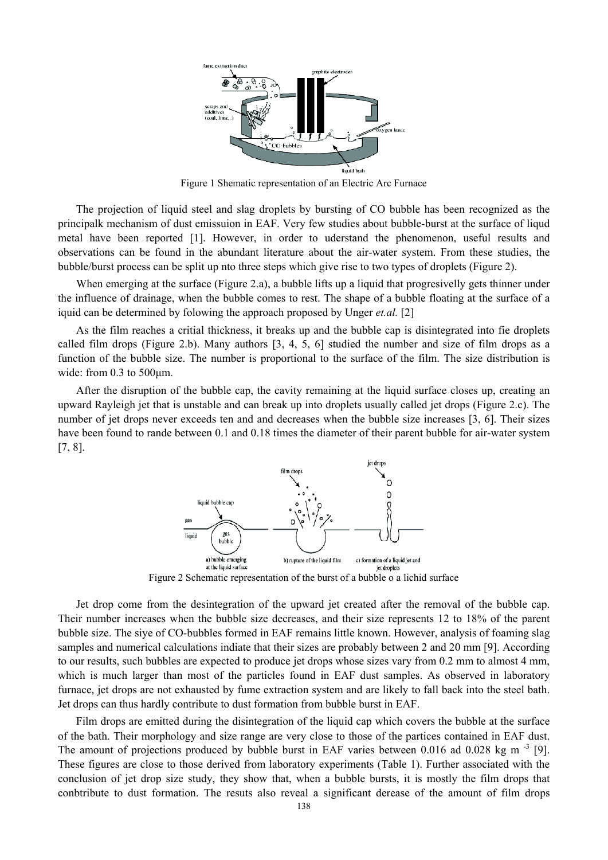

Figure 1 Shematic representation of an Electric Arc Furnace

The projection of liquid steel and slag droplets by bursting of CO bubble has been recognized as the principalk mechanism of dust emissuion in EAF. Very few studies about bubble-burst at the surface of liqud metal have been reported [1]. However, in order to uderstand the phenomenon, useful results and observations can be found in the abundant literature about the air-water system. From these studies, the bubble/burst process can be split up nto three steps which give rise to two types of droplets (Figure 2).

When emerging at the surface (Figure 2.a), a bubble lifts up a liquid that progresivelly gets thinner under the influence of drainage, when the bubble comes to rest. The shape of a bubble floating at the surface of a iquid can be determined by folowing the approach proposed by Unger *et.al.* [2]

As the film reaches a critial thickness, it breaks up and the bubble cap is disintegrated into fie droplets called film drops (Figure 2.b). Many authors  $[3, 4, 5, 6]$  studied the number and size of film drops as a function of the bubble size. The number is proportional to the surface of the film. The size distribution is wide: from 0.3 to 500μm.

After the disruption of the bubble cap, the cavity remaining at the liquid surface closes up, creating an upward Rayleigh jet that is unstable and can break up into droplets usually called jet drops (Figure 2.c). The number of jet drops never exceeds ten and and decreases when the bubble size increases [3, 6]. Their sizes have been found to rande between 0.1 and 0.18 times the diameter of their parent bubble for air-water system [7, 8].



Figure 2 Schematic representation of the burst of a bubble o a lichid surface

Jet drop come from the desintegration of the upward jet created after the removal of the bubble cap. Their number increases when the bubble size decreases, and their size represents 12 to 18% of the parent bubble size. The siye of CO-bubbles formed in EAF remains little known. However, analysis of foaming slag samples and numerical calculations indiate that their sizes are probably between 2 and 20 mm [9]. According to our results, such bubbles are expected to produce jet drops whose sizes vary from 0.2 mm to almost 4 mm, which is much larger than most of the particles found in EAF dust samples. As observed in laboratory furnace, jet drops are not exhausted by fume extraction system and are likely to fall back into the steel bath. Jet drops can thus hardly contribute to dust formation from bubble burst in EAF.

Film drops are emitted during the disintegration of the liquid cap which covers the bubble at the surface of the bath. Their morphology and size range are very close to those of the partices contained in EAF dust. The amount of projections produced by bubble burst in EAF varies between 0.016 ad 0.028 kg m<sup>-3</sup> [9]. These figures are close to those derived from laboratory experiments (Table 1). Further associated with the conclusion of jet drop size study, they show that, when a bubble bursts, it is mostly the film drops that conbtribute to dust formation. The resuts also reveal a significant derease of the amount of film drops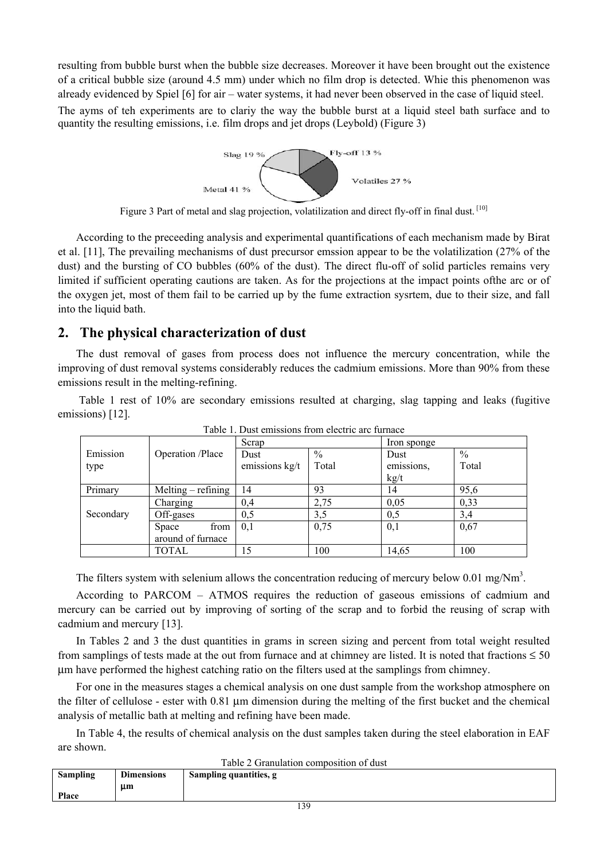resulting from bubble burst when the bubble size decreases. Moreover it have been brought out the existence of a critical bubble size (around 4.5 mm) under which no film drop is detected. Whie this phenomenon was already evidenced by Spiel [6] for air – water systems, it had never been observed in the case of liquid steel. The ayms of teh experiments are to clariy the way the bubble burst at a liquid steel bath surface and to quantity the resulting emissions, i.e. film drops and jet drops (Leybold) (Figure 3)



Figure 3 Part of metal and slag projection, volatilization and direct fly-off in final dust. [10]

According to the preceeding analysis and experimental quantifications of each mechanism made by Birat et al. [11], The prevailing mechanisms of dust precursor emssion appear to be the volatilization (27% of the dust) and the bursting of CO bubbles (60% of the dust). The direct flu-off of solid particles remains very limited if sufficient operating cautions are taken. As for the projections at the impact points ofthe arc or of the oxygen jet, most of them fail to be carried up by the fume extraction sysrtem, due to their size, and fall into the liquid bath.

## **2. The physical characterization of dust**

The dust removal of gases from process does not influence the mercury concentration, while the improving of dust removal systems considerably reduces the cadmium emissions. More than 90% from these emissions result in the melting-refining.

 Table 1 rest of 10% are secondary emissions resulted at charging, slag tapping and leaks (fugitive emissions) [12].

|           |                     | Scrap          |       | Iron sponge |               |  |
|-----------|---------------------|----------------|-------|-------------|---------------|--|
| Emission  | Operation /Place    | Dust           | $\%$  | Dust        | $\frac{0}{0}$ |  |
| type      |                     | emissions kg/t | Total | emissions.  | Total         |  |
|           |                     |                |       | kg/t        |               |  |
| Primary   | $Melting -refining$ | 14             | 93    | 14          | 95,6          |  |
|           | Charging            | 0,4            | 2,75  | 0,05        | 0,33          |  |
| Secondary | Off-gases           | 0,5            | 3,5   | 0,5         | 3,4           |  |
|           | from<br>Space       | 0,1            | 0,75  | 0,1         | 0,67          |  |
|           | around of furnace   |                |       |             |               |  |
|           | <b>TOTAL</b>        | 15             | 100   | 14,65       | 100           |  |

Table 1. Dust emissions from electric arc furnace

The filters system with selenium allows the concentration reducing of mercury below 0.01 mg/Nm<sup>3</sup>.

According to PARCOM – ATMOS requires the reduction of gaseous emissions of cadmium and mercury can be carried out by improving of sorting of the scrap and to forbid the reusing of scrap with cadmium and mercury [13].

In Tables 2 and 3 the dust quantities in grams in screen sizing and percent from total weight resulted from samplings of tests made at the out from furnace and at chimney are listed. It is noted that fractions  $\leq 50$ μm have performed the highest catching ratio on the filters used at the samplings from chimney.

For one in the measures stages a chemical analysis on one dust sample from the workshop atmosphere on the filter of cellulose - ester with 0.81 μm dimension during the melting of the first bucket and the chemical analysis of metallic bath at melting and refining have been made.

In Table 4, the results of chemical analysis on the dust samples taken during the steel elaboration in EAF are shown.

Table 2 Granulation composition of dust

| Table 2 Grammation composition of dust |                   |                        |  |  |  |  |  |  |  |
|----------------------------------------|-------------------|------------------------|--|--|--|--|--|--|--|
| <b>Sampling</b>                        | <b>Dimensions</b> | Sampling quantities, g |  |  |  |  |  |  |  |
|                                        | µm                |                        |  |  |  |  |  |  |  |
| Place                                  |                   |                        |  |  |  |  |  |  |  |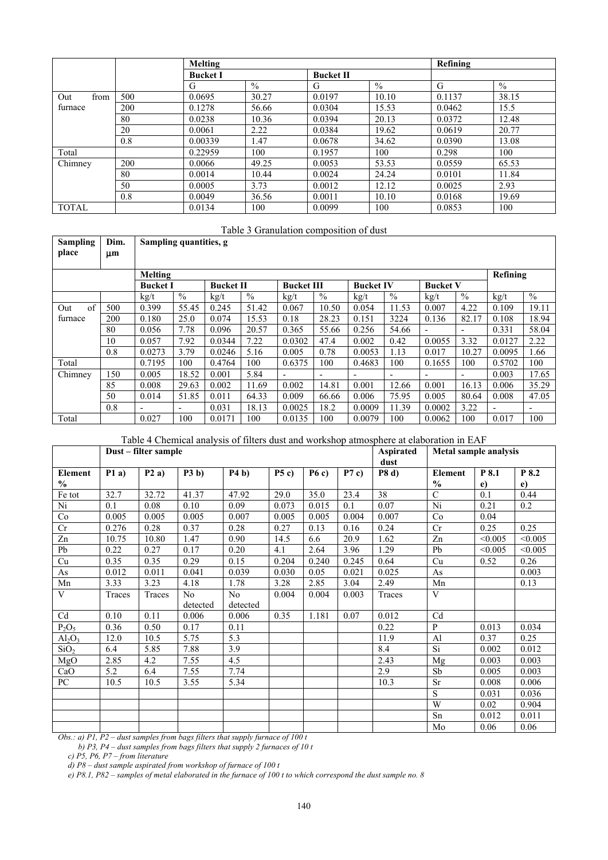|              |     | Melting         |               | Refining         |               |        |               |
|--------------|-----|-----------------|---------------|------------------|---------------|--------|---------------|
|              |     | <b>Bucket I</b> |               | <b>Bucket II</b> |               |        |               |
|              |     | G               | $\frac{0}{0}$ | G                | $\frac{0}{0}$ | G      | $\frac{0}{0}$ |
| from<br>Out  | 500 | 0.0695          | 30.27         | 0.0197           | 10.10         | 0.1137 | 38.15         |
| furnace      | 200 | 0.1278          | 56.66         | 0.0304           | 15.53         | 0.0462 | 15.5          |
|              | 80  | 0.0238          | 10.36         | 0.0394           | 20.13         | 0.0372 | 12.48         |
|              | 20  | 0.0061          | 2.22          | 0.0384           | 19.62         | 0.0619 | 20.77         |
|              | 0.8 | 0.00339         | 1.47          | 0.0678           | 34.62         | 0.0390 | 13.08         |
| Total        |     | 0.22959         | 100           | 0.1957           | 100           | 0.298  | 100           |
| Chimney      | 200 | 0.0066          | 49.25         | 0.0053           | 53.53         | 0.0559 | 65.53         |
|              | 80  | 0.0014          | 10.44         | 0.0024           | 24.24         | 0.0101 | 11.84         |
|              | 50  | 0.0005          | 3.73          | 0.0012           | 12.12         | 0.0025 | 2.93          |
|              | 0.8 | 0.0049          | 36.56         | 0.0011           | 10.10         | 0.0168 | 19.69         |
| <b>TOTAL</b> |     | 0.0134          | 100           | 0.0099           | 100           | 0.0853 | 100           |

#### Table 3 Granulation composition of dust

| <b>Sampling</b><br>place | Dim.<br>μm      | Sampling quantities, g   |       |                  |               |                   |               |                          |               |                          |               |                          |               |
|--------------------------|-----------------|--------------------------|-------|------------------|---------------|-------------------|---------------|--------------------------|---------------|--------------------------|---------------|--------------------------|---------------|
| Melting                  |                 |                          |       |                  |               |                   |               |                          |               | Refining                 |               |                          |               |
|                          | <b>Bucket I</b> |                          |       | <b>Bucket II</b> |               | <b>Bucket III</b> |               | <b>Bucket IV</b>         |               | <b>Bucket V</b>          |               |                          |               |
|                          |                 | kgt                      | $\%$  | kg/t             | $\frac{0}{0}$ | $\frac{kg}{t}$    | $\frac{0}{0}$ | $\mathrm{kg}/\mathrm{t}$ | $\frac{0}{0}$ | kgt                      | $\frac{0}{0}$ | kg/t                     | $\frac{0}{0}$ |
| $\alpha$ f<br>Out        | 500             | 0.399                    | 55.45 | 0.245            | 51.42         | 0.067             | 10.50         | 0.054                    | 11.53         | 0.007                    | 4.22          | 0.109                    | 19.11         |
| furnace                  | 200             | 0.180                    | 25.0  | 0.074            | 15.53         | 0.18              | 28.23         | 0.151                    | 3224          | 0.136                    | 82.17         | 0.108                    | 18.94         |
|                          | 80              | 0.056                    | 7.78  | 0.096            | 20.57         | 0.365             | 55.66         | 0.256                    | 54.66         |                          | -             | 0.331                    | 58.04         |
|                          | 10              | 0.057                    | 7.92  | 0.0344           | 7.22          | 0.0302            | 47.4          | 0.002                    | 0.42          | 0.0055                   | 3.32          | 0.0127                   | 2.22          |
|                          | 0.8             | 0.0273                   | 3.79  | 0.0246           | 5.16          | 0.005             | 0.78          | 0.0053                   | 1.13          | 0.017                    | 10.27         | 0.0095                   | 1.66          |
| Total                    |                 | 0.7195                   | 100   | 0.4764           | 100           | 0.6375            | 100           | 0.4683                   | 100           | 0.1655                   | 100           | 0.5702                   | 100           |
| Chimney                  | 150             | 0.005                    | 18.52 | 0.001            | 5.84          | $\blacksquare$    | -             | $\overline{\phantom{0}}$ | Ξ.            | $\overline{\phantom{0}}$ | ٠             | 0.003                    | 17.65         |
|                          | 85              | 0.008                    | 29.63 | 0.002            | 11.69         | 0.002             | 14.81         | 0.001                    | 12.66         | 0.001                    | 16.13         | 0.006                    | 35.29         |
|                          | 50              | 0.014                    | 51.85 | 0.011            | 64.33         | 0.009             | 66.66         | 0.006                    | 75.95         | 0.005                    | 80.64         | 0.008                    | 47.05         |
|                          | 0.8             | $\overline{\phantom{a}}$ | ٠     | 0.031            | 18.13         | 0.0025            | 18.2          | 0.0009                   | 11.39         | 0.0002                   | 3.22          | $\overline{\phantom{a}}$ |               |
| Total                    |                 | 0.027                    | 100   | 0.0171           | 100           | 0.0135            | 100           | 0.0079                   | 100           | 0.0062                   | 100           | 0.017                    | 100           |

Table 4 Chemical analysis of filters dust and workshop atmosphere at elaboration in EAF

|                  |        | Dust – filter sample |                |                | <b>Aspirated</b><br>dust | Metal sample analysis |       |              |                |            |            |
|------------------|--------|----------------------|----------------|----------------|--------------------------|-----------------------|-------|--------------|----------------|------------|------------|
| <b>Element</b>   | P1a)   | P2a)                 | P3 b)          | P4 b)          | P5c)                     | P6c)                  | P7c)  | <b>P8 d)</b> | Element        | P 8.1      | P 8.2      |
| $\frac{0}{0}$    |        |                      |                |                |                          |                       |       |              | $\frac{0}{0}$  | $\epsilon$ | $\epsilon$ |
| Fe tot           | 32.7   | 32.72                | 41.37          | 47.92          | 29.0                     | 35.0                  | 23.4  | 38           | $\mathcal{C}$  | 0.1        | 0.44       |
| Ni               | 0.1    | 0.08                 | 0.10           | 0.09           | 0.073                    | 0.015                 | 0.1   | 0.07         | Ni             | 0.21       | 0.2        |
| Co               | 0.005  | 0.005                | 0.005          | 0.007          | 0.005                    | 0.005                 | 0.004 | 0.007        | Co             | 0.04       |            |
| Cr               | 0.276  | 0.28                 | 0.37           | 0.28           | 0.27                     | 0.13                  | 0.16  | 0.24         | Cr             | 0.25       | 0.25       |
| $\mathbf{Zn}$    | 10.75  | 10.80                | 1.47           | 0.90           | 14.5                     | 6.6                   | 20.9  | 1.62         | Zn             | < 0.005    | < 0.005    |
| Pb               | 0.22   | 0.27                 | 0.17           | 0.20           | 4.1                      | 2.64                  | 3.96  | 1.29         | Pb             | < 0.005    | < 0.005    |
| Cu               | 0.35   | 0.35                 | 0.29           | 0.15           | 0.204                    | 0.240                 | 0.245 | 0.64         | Cu             | 0.52       | 0.26       |
| As               | 0.012  | 0.011                | 0.041          | 0.039          | 0.030                    | 0.05                  | 0.021 | 0.025        | As             |            | 0.003      |
| Mn               | 3.33   | 3.23                 | 4.18           | 1.78           | 3.28                     | 2.85                  | 3.04  | 2.49         | Mn             |            | 0.13       |
| V                | Traces | Traces               | N <sub>0</sub> | N <sub>o</sub> | 0.004                    | 0.004                 | 0.003 | Traces       | V              |            |            |
|                  |        |                      | detected       | detected       |                          |                       |       |              |                |            |            |
| Cd               | 0.10   | 0.11                 | 0.006          | 0.006          | 0.35                     | 1.181                 | 0.07  | 0.012        | Cd             |            |            |
| $P_2O_5$         | 0.36   | 0.50                 | 0.17           | 0.11           |                          |                       |       | 0.22         | $\mathbf{P}$   | 0.013      | 0.034      |
| $Al_2O_3$        | 12.0   | 10.5                 | 5.75           | 5.3            |                          |                       |       | 11.9         | A <sub>1</sub> | 0.37       | 0.25       |
| SiO <sub>2</sub> | 6.4    | 5.85                 | 7.88           | 3.9            |                          |                       |       | 8.4          | Si             | 0.002      | 0.012      |
| MgO              | 2.85   | 4.2                  | 7.55           | 4.5            |                          |                       |       | 2.43         | Mg             | 0.003      | 0.003      |
| CaO              | 5.2    | 6.4                  | 7.55           | 7.74           |                          |                       |       | 2.9          | Sb             | 0.005      | 0.003      |
| PC               | 10.5   | 10.5                 | 3.55           | 5.34           |                          |                       |       | 10.3         | <b>Sr</b>      | 0.008      | 0.006      |
|                  |        |                      |                |                |                          |                       |       |              | <sub>S</sub>   | 0.031      | 0.036      |
|                  |        |                      |                |                |                          |                       |       |              | W              | 0.02       | 0.904      |
|                  |        |                      |                |                |                          |                       |       |              | Sn             | 0.012      | 0.011      |
|                  |        |                      |                |                |                          |                       |       |              | Mo             | 0.06       | 0.06       |

*Obs.: a) P1, P2 – dust samples from bags filters that supply furnace of 100 t* 

 *b) P3, P4 – dust samples from bags filters that supply 2 furnaces of 10 t* 

 *c) P5, P6, P7 – from literature* 

 *d) P8 – dust sample aspirated from workshop of furnace of 100 t* 

 *e) P8.1, P82 – samples of metal elaborated in the furnace of 100 t to which correspond the dust sample no. 8*